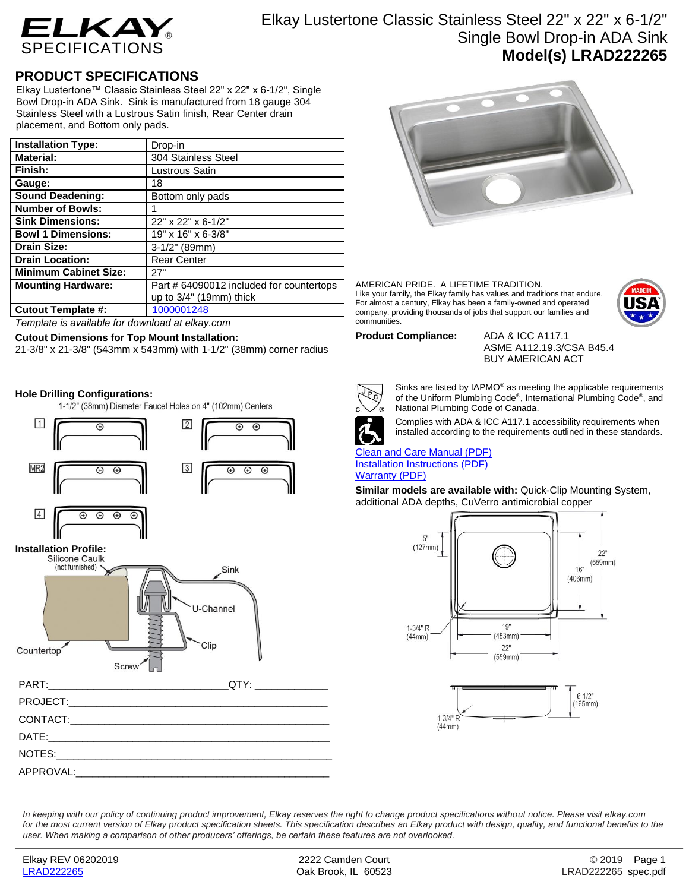

# Elkay Lustertone Classic Stainless Steel 22" x 22" x 6-1/2" Single Bowl Drop-in ADA Sink **Model(s) LRAD222265**

## **PRODUCT SPECIFICATIONS**

Elkay Lustertone™ Classic Stainless Steel 22" x 22" x 6-1/2", Single Bowl Drop-in ADA Sink. Sink is manufactured from 18 gauge 304 Stainless Steel with a Lustrous Satin finish, Rear Center drain placement, and Bottom only pads.

| <b>Installation Type:</b>    | Drop-in                                  |
|------------------------------|------------------------------------------|
| <b>Material:</b>             | 304 Stainless Steel                      |
| Finish:                      | Lustrous Satin                           |
| Gauge:                       | 18                                       |
| <b>Sound Deadening:</b>      | Bottom only pads                         |
| <b>Number of Bowls:</b>      |                                          |
| <b>Sink Dimensions:</b>      | 22" x 22" x 6-1/2"                       |
| <b>Bowl 1 Dimensions:</b>    | 19" x 16" x 6-3/8"                       |
| <b>Drain Size:</b>           | $3-1/2"$ (89mm)                          |
| <b>Drain Location:</b>       | <b>Rear Center</b>                       |
| <b>Minimum Cabinet Size:</b> | 27"                                      |
| <b>Mounting Hardware:</b>    | Part # 64090012 included for countertops |
|                              | up to $3/4$ " (19mm) thick               |
| <b>Cutout Template #:</b>    | 1000001248                               |

*Template is available for download at elkay.com*

## **Cutout Dimensions for Top Mount Installation:**

21-3/8" x 21-3/8" (543mm x 543mm) with 1-1/2" (38mm) corner radius

## **Hole Drilling Configurations:**

1-1/2" (38mm) Diameter Faucet Holes on 4" (102mm) Centers



# **Installation Profile:**



# PART:\_\_\_\_\_\_\_\_\_\_\_\_\_\_\_\_\_\_\_\_\_\_\_\_\_\_\_\_\_\_\_\_QTY: \_\_\_\_\_\_\_\_\_\_\_\_\_ PROJECT: CONTACT: DATE:\_\_\_\_\_\_\_\_\_\_\_\_\_\_\_\_\_\_\_\_\_\_\_\_\_\_\_\_\_\_\_\_\_\_\_\_\_\_\_\_\_\_\_\_\_\_\_\_\_\_ NOTES: APPROVAL:



#### AMERICAN PRIDE. A LIFETIME TRADITION. Like your family, the Elkay family has values and traditions that endure. For almost a century, Elkay has been a family-owned and operated company, providing thousands of jobs that support our families and communities.



### **Product Compliance:** ADA & ICC A117.1

ASME A112.19.3/CSA B45.4 BUY AMERICAN ACT



Sinks are listed by IAPMO® as meeting the applicable requirements of the Uniform Plumbing Code® , International Plumbing Code® , and National Plumbing Code of Canada.



Complies with ADA & ICC A117.1 accessibility requirements when installed according to the requirements outlined in these standards.

[Clean and Care Manual \(PDF\)](http://www.elkay.com/wcsstore/lkdocs/care-cleaning-install-warranty-sheets/residential%20and%20commercial%20care%20%20cleaning.pdf) [Installation Instructions \(PDF\)](http://www.elkay.com/wcsstore/lkdocs/care-cleaning-install-warranty-sheets/74180147.pdf) [Warranty](http://www.elkay.com/wcsstore/lkdocs/care-cleaning-install-warranty-sheets/1000005130.pdf) (PDF)

**Similar models are available with:** Quick-Clip Mounting System, additional ADA depths, CuVerro antimicrobial copper





*In keeping with our policy of continuing product improvement, Elkay reserves the right to change product specifications without notice. Please visit elkay.com*  for the most current version of Elkay product specification sheets. This specification describes an Elkay product with design, quality, and functional benefits to the *user. When making a comparison of other producers' offerings, be certain these features are not overlooked.*